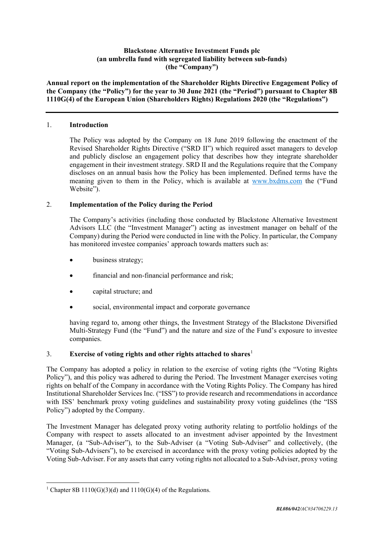## **Blackstone Alternative Investment Funds plc (an umbrella fund with segregated liability between sub-funds) (the "Company")**

**Annual report on the implementation of the Shareholder Rights Directive Engagement Policy of the Company (the "Policy") for the year to 30 June 2021 (the "Period") pursuant to Chapter 8B 1110G(4) of the European Union (Shareholders Rights) Regulations 2020 (the "Regulations")**

## 1. **Introduction**

The Policy was adopted by the Company on 18 June 2019 following the enactment of the Revised Shareholder Rights Directive ("SRD II") which required asset managers to develop and publicly disclose an engagement policy that describes how they integrate shareholder engagement in their investment strategy. SRD II and the Regulations require that the Company discloses on an annual basis how the Policy has been implemented. Defined terms have the meaning given to them in the Policy, which is available at [www.bxdms.com](https://www.blackstone.com/bxdms) the ("Fund Website").

## 2. **Implementation of the Policy during the Period**

The Company's activities (including those conducted by Blackstone Alternative Investment Advisors LLC (the "Investment Manager") acting as investment manager on behalf of the Company) during the Period were conducted in line with the Policy. In particular, the Company has monitored investee companies' approach towards matters such as:

- business strategy;
- financial and non-financial performance and risk;
- capital structure; and
- social, environmental impact and corporate governance

having regard to, among other things, the Investment Strategy of the Blackstone Diversified Multi-Strategy Fund (the "Fund") and the nature and size of the Fund's exposure to investee companies.

# 3. **Exercise of voting rights and other rights attached to shares**[1](#page-0-0)

The Company has adopted a policy in relation to the exercise of voting rights (the "Voting Rights Policy"), and this policy was adhered to during the Period. The Investment Manager exercises voting rights on behalf of the Company in accordance with the Voting Rights Policy. The Company has hired Institutional Shareholder Services Inc. ("ISS") to provide research and recommendations in accordance with ISS' benchmark proxy voting guidelines and sustainability proxy voting guidelines (the "ISS Policy") adopted by the Company.

The Investment Manager has delegated proxy voting authority relating to portfolio holdings of the Company with respect to assets allocated to an investment adviser appointed by the Investment Manager, (a "Sub-Adviser"), to the Sub-Adviser (a "Voting Sub-Adviser" and collectively, (the "Voting Sub-Advisers"), to be exercised in accordance with the proxy voting policies adopted by the Voting Sub-Adviser. For any assets that carry voting rights not allocated to a Sub-Adviser, proxy voting

<span id="page-0-0"></span><sup>&</sup>lt;sup>1</sup> Chapter 8B 1110(G)(3)(d) and 1110(G)(4) of the Regulations.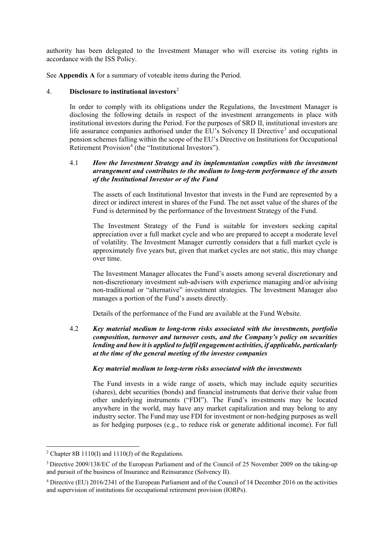authority has been delegated to the Investment Manager who will exercise its voting rights in accordance with the ISS Policy.

See **Appendix A** for a summary of voteable items during the Period.

## 4. **Disclosure to institutional investors**[2](#page-1-0)

In order to comply with its obligations under the Regulations, the Investment Manager is disclosing the following details in respect of the investment arrangements in place with institutional investors during the Period. For the purposes of SRD II, institutional investors are life assurance companies authorised under the  $\overline{E}U$ 's Solvency II Directive<sup>[3](#page-1-1)</sup> and occupational pension schemes falling within the scope of the EU's Directive on Institutions for Occupational Retirement Provision<sup>[4](#page-1-2)</sup> (the "Institutional Investors").

## 4.1 *How the Investment Strategy and its implementation complies with the investment arrangement and contributes to the medium to long-term performance of the assets of the Institutional Investor or of the Fund*

The assets of each Institutional Investor that invests in the Fund are represented by a direct or indirect interest in shares of the Fund. The net asset value of the shares of the Fund is determined by the performance of the Investment Strategy of the Fund.

The Investment Strategy of the Fund is suitable for investors seeking capital appreciation over a full market cycle and who are prepared to accept a moderate level of volatility. The Investment Manager currently considers that a full market cycle is approximately five years but, given that market cycles are not static, this may change over time.

The Investment Manager allocates the Fund's assets among several discretionary and non-discretionary investment sub-advisers with experience managing and/or advising non-traditional or "alternative" investment strategies. The Investment Manager also manages a portion of the Fund's assets directly.

Details of the performance of the Fund are available at the Fund Website.

4.2 *Key material medium to long-term risks associated with the investments, portfolio composition, turnover and turnover costs, and the Company's policy on securities lending and how it is applied to fulfil engagement activities, if applicable, particularly at the time of the general meeting of the investee companies*

### *Key material medium to long-term risks associated with the investments*

The Fund invests in a wide range of assets, which may include equity securities (shares), debt securities (bonds) and financial instruments that derive their value from other underlying instruments ("FDI"). The Fund's investments may be located anywhere in the world, may have any market capitalization and may belong to any industry sector. The Fund may use FDI for investment or non-hedging purposes as well as for hedging purposes (e.g., to reduce risk or generate additional income). For full

<span id="page-1-0"></span><sup>2</sup> Chapter 8B 1110(I) and 1110(J) of the Regulations.

<span id="page-1-1"></span><sup>3</sup> Directive 2009/138/EC of the European Parliament and of the Council of 25 November 2009 on the taking-up and pursuit of the business of Insurance and Reinsurance (Solvency II).

<span id="page-1-2"></span><sup>4</sup> Directive (EU) 2016/2341 of the European Parliament and of the Council of 14 December 2016 on the activities and supervision of institutions for occupational retirement provision (IORPs).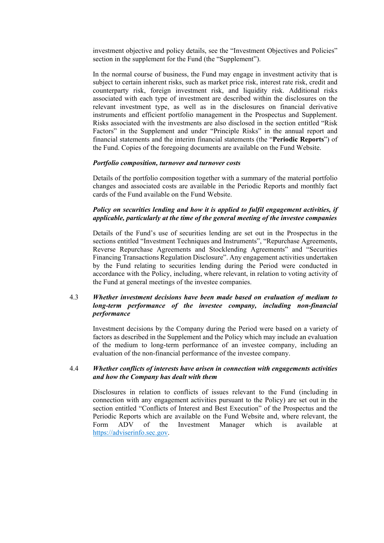investment objective and policy details, see the "Investment Objectives and Policies" section in the supplement for the Fund (the "Supplement").

In the normal course of business, the Fund may engage in investment activity that is subject to certain inherent risks, such as market price risk, interest rate risk, credit and counterparty risk, foreign investment risk, and liquidity risk. Additional risks associated with each type of investment are described within the disclosures on the relevant investment type, as well as in the disclosures on financial derivative instruments and efficient portfolio management in the Prospectus and Supplement. Risks associated with the investments are also disclosed in the section entitled "Risk Factors" in the Supplement and under "Principle Risks" in the annual report and financial statements and the interim financial statements (the "**Periodic Reports**") of the Fund. Copies of the foregoing documents are available on the Fund Website.

## *Portfolio composition, turnover and turnover costs*

Details of the portfolio composition together with a summary of the material portfolio changes and associated costs are available in the Periodic Reports and monthly fact cards of the Fund available on the Fund Website.

## *Policy on securities lending and how it is applied to fulfil engagement activities, if applicable, particularly at the time of the general meeting of the investee companies*

Details of the Fund's use of securities lending are set out in the Prospectus in the sections entitled "Investment Techniques and Instruments", "Repurchase Agreements, Reverse Repurchase Agreements and Stocklending Agreements" and "Securities Financing Transactions Regulation Disclosure". Any engagement activities undertaken by the Fund relating to securities lending during the Period were conducted in accordance with the Policy, including, where relevant, in relation to voting activity of the Fund at general meetings of the investee companies.

## 4.3 *Whether investment decisions have been made based on evaluation of medium to long-term performance of the investee company, including non-financial performance*

Investment decisions by the Company during the Period were based on a variety of factors as described in the Supplement and the Policy which may include an evaluation of the medium to long-term performance of an investee company, including an evaluation of the non-financial performance of the investee company.

## 4.4 *Whether conflicts of interests have arisen in connection with engagements activities and how the Company has dealt with them*

Disclosures in relation to conflicts of issues relevant to the Fund (including in connection with any engagement activities pursuant to the Policy) are set out in the section entitled "Conflicts of Interest and Best Execution" of the Prospectus and the Periodic Reports which are available on the Fund Website and, where relevant, the Form ADV of the Investment Manager which is available at [https://adviserinfo.sec.gov.](https://adviserinfo.sec.gov/)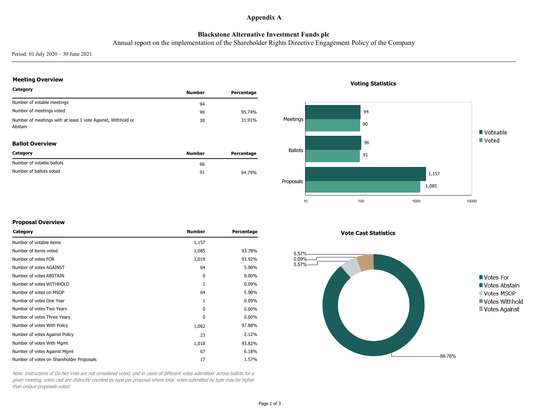### **Appendix A**

## **Blackstone Alternative Investment Funds plc**

Annual report on the implementation of the Shareholder Rights Directive Engagement Policy of the Company

Period: 01 July 2020 – 30 June 2021

### **Meeting Overview**

| Category                                                                | <b>Number</b> | Percentage |
|-------------------------------------------------------------------------|---------------|------------|
| Number of votable meetings                                              | 94            |            |
| Number of meetings voted                                                | 90            | 95.74%     |
| Number of meetings with at least 1 vote Against, Withhold or<br>Abstain | 30            | 31.91%     |

#### **Ballot Overview**

| Category                  | <b>Number</b> | Percentage |
|---------------------------|---------------|------------|
| Number of votable ballots | 96            |            |
| Number of ballots voted   | 91            | 94.79%     |

# 94 Meetings 90 Voteable Voted 96 Ballots 91 1,157 Proposals 1,085 10 100 1000 1000 1000 1000 10000 10000 10000 10000 10000 10000 10000 10000 10000 10000 10000 10000 1000 1000 1

### **Voting Statistics**

#### **Proposal Overview**

| Category                                 | <b>Number</b> | Percentage |
|------------------------------------------|---------------|------------|
| Number of votable items                  | 1,157         |            |
| Number of items voted                    | 1,085         | 93.78%     |
| Number of votes FOR                      | 1,019         | 93.92%     |
| Number of votes AGAINST                  | 64            | 5.90%      |
| Number of votes ABSTAIN                  | 0             | $0.00\%$   |
| Number of votes WITHHOLD                 | 1             | 0.09%      |
| Number of votes on MSOP                  | 64            | 5.90%      |
| Number of votes One Year                 | 1             | 0.09%      |
| Number of votes Two Years                | $\Omega$      | $0.00\%$   |
| Number of votes Three Years              | $\Omega$      | $0.00\%$   |
| Number of votes With Policy              | 1,062         | 97.88%     |
| Number of votes Against Policy           | 23            | 2.12%      |
| Number of votes With Mgmt                | 1,018         | 93.82%     |
| Number of votes Against Mgmt             | 67            | 6.18%      |
| Number of votes on Shareholder Proposals | 17            | 1.57%      |

Note: Instructions of Do Not Vote are not considered voted, and in cases of different votes submitted across ballots for <sup>a</sup> given meeting, votes cast are distinctly counted by type per proposal where total votes submitted by type may be higher than unique proposals voted.

**Vote Cast Statistics**

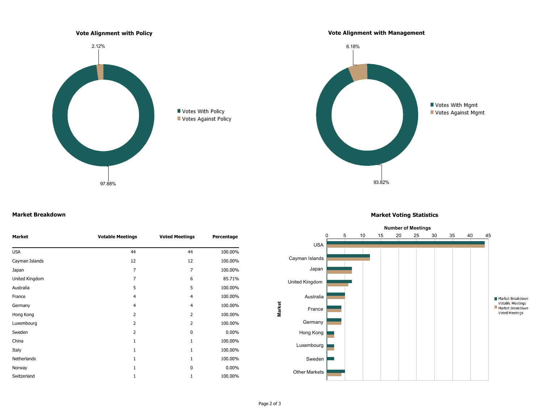

#### **Market Breakdown**

| <b>Market</b>  | <b>Votable Meetings</b> | <b>Voted Meetings</b> | Percentage |
|----------------|-------------------------|-----------------------|------------|
| <b>USA</b>     | 44                      | 44                    | 100.00%    |
| Cayman Islands | 12                      | 12                    | 100.00%    |
| Japan          | 7                       | 7                     | 100.00%    |
| United Kingdom | 7                       | 6                     | 85.71%     |
| Australia      | 5                       | 5                     | 100.00%    |
| France         | 4                       | $\overline{4}$        | 100.00%    |
| Germany        | $\overline{4}$          | $\overline{4}$        | 100.00%    |
| Hong Kong      | $\overline{2}$          | 2                     | 100.00%    |
| Luxembourg     | $\overline{2}$          | $\overline{2}$        | 100.00%    |
| Sweden         | $\overline{2}$          | 0                     | $0.00\%$   |
| China          | 1                       | 1                     | 100.00%    |
| Italy          | $\mathbf{1}$            | 1                     | 100.00%    |
| Netherlands    | 1                       | 1                     | 100.00%    |
| Norway         | $\mathbf{1}$            | 0                     | $0.00\%$   |
| Switzerland    | 1                       | $\mathbf{1}$          | 100.00%    |